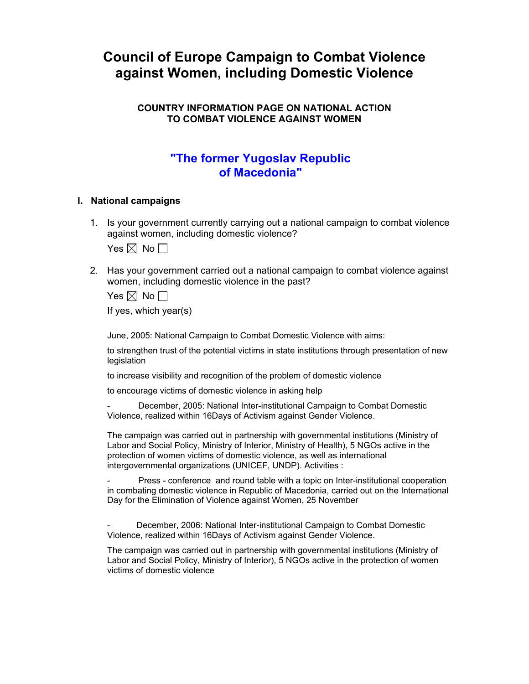# **Council of Europe Campaign to Combat Violence against Women, including Domestic Violence**

## **COUNTRY INFORMATION PAGE ON NATIONAL ACTION TO COMBAT VIOLENCE AGAINST WOMEN**

## **"The former Yugoslav Republic of Macedonia"**

## **I. National campaigns**

1. Is your government currently carrying out a national campaign to combat violence against women, including domestic violence?

Yes  $\boxtimes$  No  $\Box$ 

2. Has your government carried out a national campaign to combat violence against women, including domestic violence in the past?

Yes  $\boxtimes$  No  $\Box$ 

If yes, which year(s)

June, 2005: National Campaign to Combat Domestic Violence with aims:

to strengthen trust of the potential victims in state institutions through presentation of new legislation

to increase visibility and recognition of the problem of domestic violence

to encourage victims of domestic violence in asking help

- December, 2005: National Inter-institutional Campaign to Combat Domestic Violence, realized within 16Days of Activism against Gender Violence.

The campaign was carried out in partnership with governmental institutions (Ministry of Labor and Social Policy, Ministry of Interior, Ministry of Health), 5 NGOs active in the protection of women victims of domestic violence, as well as international intergovernmental organizations (UNICEF, UNDP). Activities :

Press - conference and round table with a topic on Inter-institutional cooperation in combating domestic violence in Republic of Macedonia, carried out on the International Day for the Elimination of Violence against Women, 25 November

December, 2006: National Inter-institutional Campaign to Combat Domestic Violence, realized within 16Days of Activism against Gender Violence.

The campaign was carried out in partnership with governmental institutions (Ministry of Labor and Social Policy, Ministry of Interior), 5 NGOs active in the protection of women victims of domestic violence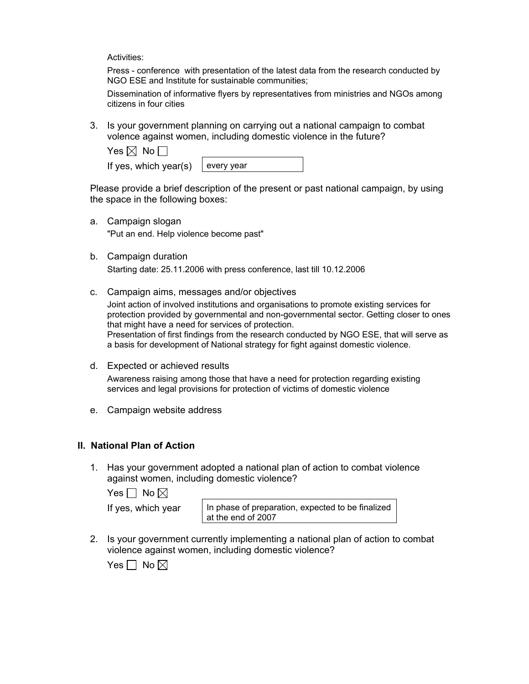Activities:

Press - conference with presentation of the latest data from the research conducted by NGO ESE and Institute for sustainable communities;

Dissemination of informative flyers by representatives from ministries and NGOs among citizens in four cities

3. Is your government planning on carrying out a national campaign to combat volence against women, including domestic violence in the future?

| Yes $\boxtimes$ No $\Box$ |  |
|---------------------------|--|
|                           |  |

If yes, which year(s)  $\vert$  every year

Please provide a brief description of the present or past national campaign, by using the space in the following boxes:

- a. Campaign slogan "Put an end. Help violence become past"
- b. Campaign duration Starting date: 25.11.2006 with press conference, last till 10.12.2006
- c. Campaign aims, messages and/or objectives

Joint action of involved institutions and organisations to promote existing services for protection provided by governmental and non-governmental sector. Getting closer to ones that might have a need for services of protection. Presentation of first findings from the research conducted by NGO ESE, that will serve as a basis for development of National strategy for fight against domestic violence.

- d. Expected or achieved results Awareness raising among those that have a need for protection regarding existing services and legal provisions for protection of victims of domestic violence
- e. Campaign website address

## **II. National Plan of Action**

1. Has your government adopted a national plan of action to combat violence against women, including domestic violence?

Yes  $\Box$  No  $\boxtimes$ 

If yes, which year  $\vert$  In phase of preparation, expected to be finalized at the end of 2007

2. Is your government currently implementing a national plan of action to combat violence against women, including domestic violence?

Yes  $\Box$  No  $\boxtimes$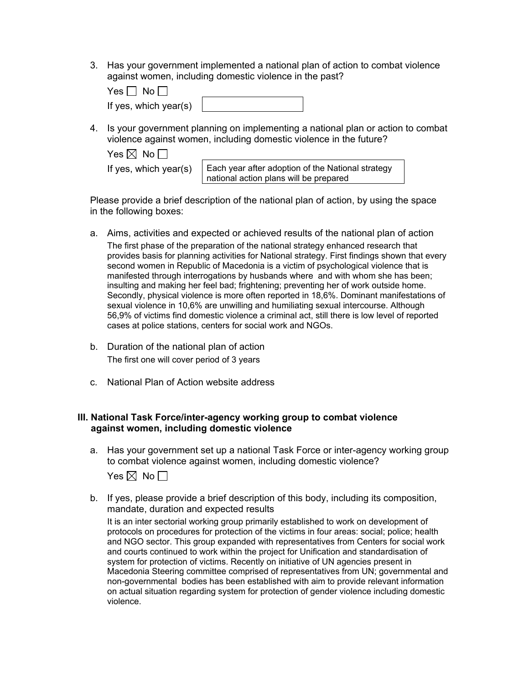3. Has your government implemented a national plan of action to combat violence against women, including domestic violence in the past?

| $Yes \Box No$         |  |
|-----------------------|--|
| If yes, which year(s) |  |

4. Is your government planning on implementing a national plan or action to combat violence against women, including domestic violence in the future?

| Yes $\boxtimes$ No $\Box$ |                                                                                             |
|---------------------------|---------------------------------------------------------------------------------------------|
| If yes, which year(s)     | Each year after adoption of the National strategy<br>national action plans will be prepared |

Please provide a brief description of the national plan of action, by using the space in the following boxes:

- a. Aims, activities and expected or achieved results of the national plan of action The first phase of the preparation of the national strategy enhanced research that provides basis for planning activities for National strategy. First findings shown that every second women in Republic of Macedonia is a victim of psychological violence that is manifested through interrogations by husbands where and with whom she has been; insulting and making her feel bad; frightening; preventing her of work outside home. Secondly, physical violence is more often reported in 18,6%. Dominant manifestations of sexual violence in 10,6% are unwilling and humiliating sexual intercourse. Although 56,9% of victims find domestic violence a criminal act, still there is low level of reported cases at police stations, centers for social work and NGOs.
- b. Duration of the national plan of action The first one will cover period of 3 years
- c. National Plan of Action website address

## **III. National Task Force/inter-agency working group to combat violence against women, including domestic violence**

- a. Has your government set up a national Task Force or inter-agency working group to combat violence against women, including domestic violence?
	- Yes  $\boxtimes$  No  $\Box$
- b. If yes, please provide a brief description of this body, including its composition, mandate, duration and expected results

It is an inter sectorial working group primarily established to work on development of protocols on procedures for protection of the victims in four areas: social; police; health and NGO sector. This group expanded with representatives from Centers for social work and courts continued to work within the project for Unification and standardisation of system for protection of victims. Recently on initiative of UN agencies present in Macedonia Steering committee comprised of representatives from UN; governmental and non-governmental bodies has been established with aim to provide relevant information on actual situation regarding system for protection of gender violence including domestic violence.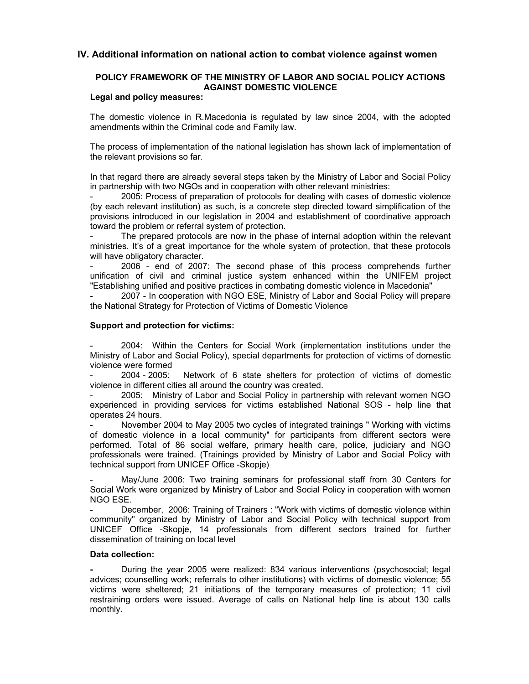## **IV. Additional information on national action to combat violence against women**

## **POLICY FRAMEWORK OF THE MINISTRY OF LABOR AND SOCIAL POLICY ACTIONS AGAINST DOMESTIC VIOLENCE**

#### **Legal and policy measures:**

The domestic violence in R.Macedonia is regulated by law since 2004, with the adopted amendments within the Criminal code and Family law.

The process of implementation of the national legislation has shown lack of implementation of the relevant provisions so far.

In that regard there are already several steps taken by the Ministry of Labor and Social Policy in partnership with two NGOs and in cooperation with other relevant ministries:

2005: Process of preparation of protocols for dealing with cases of domestic violence (by each relevant institution) as such, is a concrete step directed toward simplification of the provisions introduced in our legislation in 2004 and establishment of coordinative approach toward the problem or referral system of protection.

The prepared protocols are now in the phase of internal adoption within the relevant ministries. It's of a great importance for the whole system of protection, that these protocols will have obligatory character.

2006 - end of 2007: The second phase of this process comprehends further unification of civil and criminal justice system enhanced within the UNIFEM project "Establishing unified and positive practices in combating domestic violence in Macedonia"

2007 - In cooperation with NGO ESE, Ministry of Labor and Social Policy will prepare the National Strategy for Protection of Victims of Domestic Violence

#### **Support and protection for victims:**

2004: Within the Centers for Social Work (implementation institutions under the Ministry of Labor and Social Policy), special departments for protection of victims of domestic violence were formed<br>- 2004 - 2005:

Network of 6 state shelters for protection of victims of domestic violence in different cities all around the country was created.

2005: Ministry of Labor and Social Policy in partnership with relevant women NGO experienced in providing services for victims established National SOS - help line that operates 24 hours.

November 2004 to May 2005 two cycles of integrated trainings " Working with victims of domestic violence in a local community" for participants from different sectors were performed. Total of 86 social welfare, primary health care, police, judiciary and NGO professionals were trained. (Trainings provided by Ministry of Labor and Social Policy with technical support from UNICEF Office -Skopje)

May/June 2006: Two training seminars for professional staff from 30 Centers for Social Work were organized by Ministry of Labor and Social Policy in cooperation with women NGO ESE.

December, 2006: Training of Trainers : "Work with victims of domestic violence within community" organized by Ministry of Labor and Social Policy with technical support from UNICEF Office -Skopje, 14 professionals from different sectors trained for further dissemination of training on local level

#### **Data collection:**

**-** During the year 2005 were realized: 834 various interventions (psychosocial; legal advices; counselling work; referrals to other institutions) with victims of domestic violence; 55 victims were sheltered; 21 initiations of the temporary measures of protection; 11 civil restraining orders were issued. Average of calls on National help line is about 130 calls monthly.